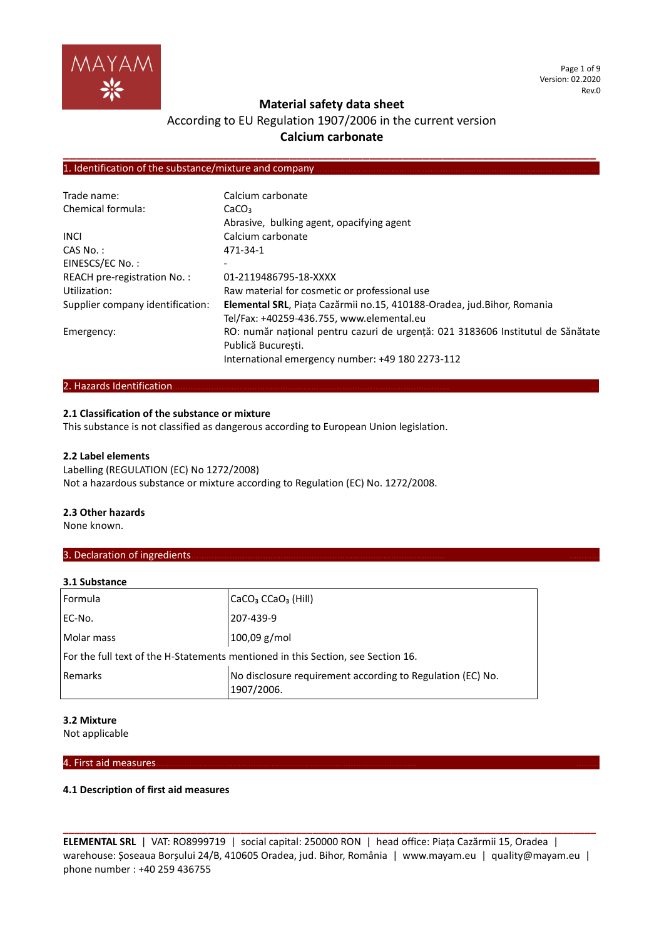

Page 1 of 9 Version: 02.2020 Rev.0

# **Material safety data sheet**

# According to EU Regulation 1907/2006 in the current version **Calcium carbonate**

**\_\_\_\_\_\_\_\_\_\_\_\_\_\_\_\_\_\_\_\_\_\_\_\_\_\_\_\_\_\_\_\_\_\_\_\_\_\_\_\_\_\_\_\_\_\_\_\_\_\_\_\_\_\_\_\_\_\_\_\_\_\_\_\_\_\_\_\_\_\_\_\_\_\_\_\_\_\_\_\_**

# 1. Identification of the substance/mixture and company

| Trade name:                      | Calcium carbonate                                                               |
|----------------------------------|---------------------------------------------------------------------------------|
| Chemical formula:                | CaCO <sub>3</sub>                                                               |
|                                  | Abrasive, bulking agent, opacifying agent                                       |
| <b>INCI</b>                      | Calcium carbonate                                                               |
| CAS No.:                         | 471-34-1                                                                        |
| EINESCS/EC No.:                  | $\overline{\phantom{0}}$                                                        |
| REACH pre-registration No.:      | 01-2119486795-18-XXXX                                                           |
| Utilization:                     | Raw material for cosmetic or professional use                                   |
| Supplier company identification: | Elemental SRL, Piața Cazărmii no.15, 410188-Oradea, jud.Bihor, Romania          |
|                                  | Tel/Fax: +40259-436.755, www.elemental.eu                                       |
| Emergency:                       | RO: număr național pentru cazuri de urgență: 021 3183606 Institutul de Sănătate |
|                                  | Publică Bucuresti.                                                              |
|                                  | International emergency number: +49 180 2273-112                                |

# 2. Hazards Identification...

# **2.1 Classification of the substance or mixture**

This substance is not classified as dangerous according to European Union legislation.

#### **2.2 Label elements**

Labelling (REGULATION (EC) No 1272/2008) Not a hazardous substance or mixture according to Regulation (EC) No. 1272/2008.

#### **2.3 Other hazards**

None known.

# 3. Declaration of ingredients.

#### **3.1 Substance**

| Formula                                                                          | CaCO <sub>3</sub> CCaO <sub>3</sub> (Hill)                               |  |
|----------------------------------------------------------------------------------|--------------------------------------------------------------------------|--|
| EC-No.                                                                           | 207-439-9                                                                |  |
| Molar mass                                                                       | 100,09 g/mol                                                             |  |
| For the full text of the H-Statements mentioned in this Section, see Section 16. |                                                                          |  |
| Remarks                                                                          | No disclosure requirement according to Regulation (EC) No.<br>1907/2006. |  |

#### **3.2 Mixture**

Not applicable

# 4. First aid measures………………………………………………………………………………………… ………

# **4.1 Description of first aid measures**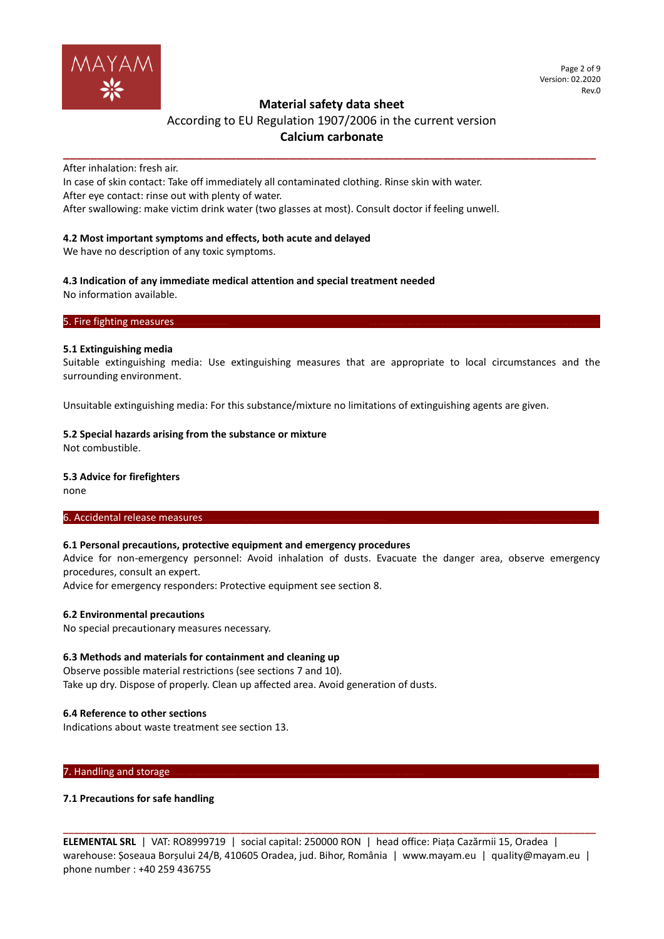

Page 2 of 9 Version: 02.2020 Rev.0

# **Material safety data sheet**

# According to EU Regulation 1907/2006 in the current version **Calcium carbonate**

**\_\_\_\_\_\_\_\_\_\_\_\_\_\_\_\_\_\_\_\_\_\_\_\_\_\_\_\_\_\_\_\_\_\_\_\_\_\_\_\_\_\_\_\_\_\_\_\_\_\_\_\_\_\_\_\_\_\_\_\_\_\_\_\_\_\_\_\_\_\_\_\_\_\_\_\_\_\_\_\_**

After inhalation: fresh air.

In case of skin contact: Take off immediately all contaminated clothing. Rinse skin with water. After eye contact: rinse out with plenty of water.

After swallowing: make victim drink water (two glasses at most). Consult doctor if feeling unwell.

# **4.2 Most important symptoms and effects, both acute and delayed**

We have no description of any toxic symptoms.

#### **4.3 Indication of any immediate medical attention and special treatment needed** No information available.

5. Fire fighting measures.

### **5.1 Extinguishing media**

Suitable extinguishing media: Use extinguishing measures that are appropriate to local circumstances and the surrounding environment.

Unsuitable extinguishing media: For this substance/mixture no limitations of extinguishing agents are given.

# **5.2 Special hazards arising from the substance or mixture**

Not combustible.

# **5.3 Advice for firefighters**

none

# 6. Accidental release measures.

# **6.1 Personal precautions, protective equipment and emergency procedures**

Advice for non-emergency personnel: Avoid inhalation of dusts. Evacuate the danger area, observe emergency procedures, consult an expert.

Advice for emergency responders: Protective equipment see section 8.

# **6.2 Environmental precautions**

No special precautionary measures necessary.

# **6.3 Methods and materials for containment and cleaning up**

Observe possible material restrictions (see sections 7 and 10). Take up dry. Dispose of properly. Clean up affected area. Avoid generation of dusts.

### **6.4 Reference to other sections**

Indications about waste treatment see section 13.

#### 7. Handling and storage.

# **7.1 Precautions for safe handling**

**ELEMENTAL SRL** | VAT: RO8999719 | social capital: 250000 RON | head office: Piața Cazărmii 15, Oradea | warehouse: Șoseaua Borșului 24/B, 410605 Oradea, jud. Bihor, România | www.mayam.eu | quality@mayam.eu | phone number : +40 259 436755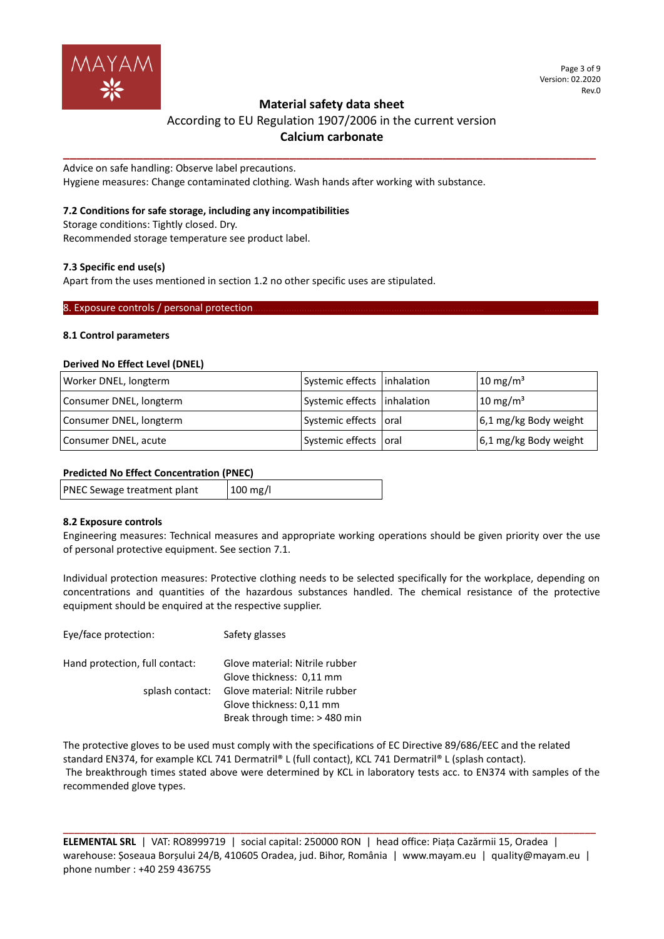

# According to EU Regulation 1907/2006 in the current version **Calcium carbonate**

**\_\_\_\_\_\_\_\_\_\_\_\_\_\_\_\_\_\_\_\_\_\_\_\_\_\_\_\_\_\_\_\_\_\_\_\_\_\_\_\_\_\_\_\_\_\_\_\_\_\_\_\_\_\_\_\_\_\_\_\_\_\_\_\_\_\_\_\_\_\_\_\_\_\_\_\_\_\_\_\_**

Advice on safe handling: Observe label precautions. Hygiene measures: Change contaminated clothing. Wash hands after working with substance.

# **7.2 Conditions for safe storage, including any incompatibilities**

Storage conditions: Tightly closed. Dry. Recommended storage temperature see product label.

# **7.3 Specific end use(s)**

Apart from the uses mentioned in section 1.2 no other specific uses are stipulated.

# 8. Exposure controls / personal protection.

# **8.1 Control parameters**

### **Derived No Effect Level (DNEL)**

| Worker DNEL, longterm   | Systemic effects   inhalation | $10 \text{ mg/m}^3$   |
|-------------------------|-------------------------------|-----------------------|
| Consumer DNEL, longterm | Systemic effects   inhalation | $10 \text{ mg/m}^3$   |
| Consumer DNEL, longterm | Systemic effects oral         | 6,1 mg/kg Body weight |
| Consumer DNEL, acute    | Systemic effects oral         | 6,1 mg/kg Body weight |

# **Predicted No Effect Concentration (PNEC)**

| PNEC Sewage treatment plant | $100$ mg/l |
|-----------------------------|------------|
|                             |            |

# **8.2 Exposure controls**

Engineering measures: Technical measures and appropriate working operations should be given priority over the use of personal protective equipment. See section 7.1.

Individual protection measures: Protective clothing needs to be selected specifically for the workplace, depending on concentrations and quantities of the hazardous substances handled. The chemical resistance of the protective equipment should be enquired at the respective supplier.

| Lyc/idle protection.           | <b>SAILLY RIASSES</b>          |
|--------------------------------|--------------------------------|
| Hand protection, full contact: | Glove material: Nitrile rubber |
|                                | Glove thickness: 0,11 mm       |
| splash contact:                | Glove material: Nitrile rubber |
|                                | Glove thickness: 0,11 mm       |
|                                | Break through time: > 480 min  |

Eye/face protection: Safety glasses

The protective gloves to be used must comply with the specifications of EC Directive 89/686/EEC and the related standard EN374, for example KCL 741 Dermatril® L (full contact), KCL 741 Dermatril® L (splash contact). The breakthrough times stated above were determined by KCL in laboratory tests acc. to EN374 with samples of the recommended glove types.

**ELEMENTAL SRL** | VAT: RO8999719 | social capital: 250000 RON | head office: Piața Cazărmii 15, Oradea | warehouse: Șoseaua Borșului 24/B, 410605 Oradea, jud. Bihor, România | www.mayam.eu | quality@mayam.eu | phone number : +40 259 436755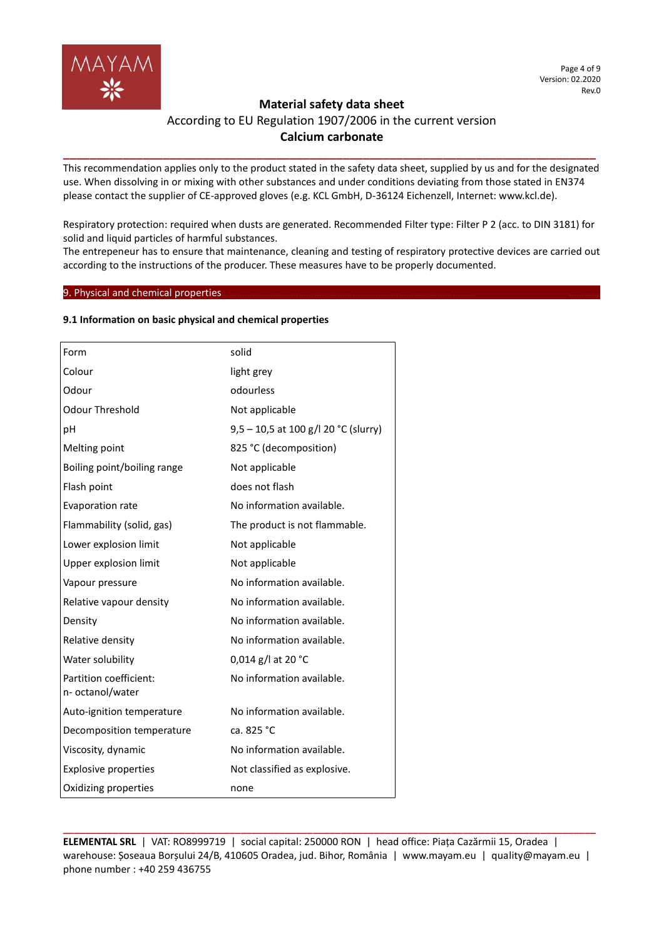

# **Material safety data sheet**  According to EU Regulation 1907/2006 in the current version

# **Calcium carbonate \_\_\_\_\_\_\_\_\_\_\_\_\_\_\_\_\_\_\_\_\_\_\_\_\_\_\_\_\_\_\_\_\_\_\_\_\_\_\_\_\_\_\_\_\_\_\_\_\_\_\_\_\_\_\_\_\_\_\_\_\_\_\_\_\_\_\_\_\_\_\_\_\_\_\_\_\_\_\_\_**

This recommendation applies only to the product stated in the safety data sheet, supplied by us and for the designated use. When dissolving in or mixing with other substances and under conditions deviating from those stated in EN374 please contact the supplier of CE-approved gloves (e.g. KCL GmbH, D-36124 Eichenzell, Internet: www.kcl.de).

Respiratory protection: required when dusts are generated. Recommended Filter type: Filter P 2 (acc. to DIN 3181) for solid and liquid particles of harmful substances.

The entrepeneur has to ensure that maintenance, cleaning and testing of respiratory protective devices are carried out according to the instructions of the producer. These measures have to be properly documented.

# 9. Physical and chemical properties.

# **9.1 Information on basic physical and chemical properties**

| Form                                       | solid                                |
|--------------------------------------------|--------------------------------------|
| Colour                                     | light grey                           |
| Odour                                      | odourless                            |
| <b>Odour Threshold</b>                     | Not applicable                       |
| рH                                         | 9,5 - 10,5 at 100 g/l 20 °C (slurry) |
| Melting point                              | 825 °C (decomposition)               |
| Boiling point/boiling range                | Not applicable                       |
| Flash point                                | does not flash                       |
| <b>Evaporation rate</b>                    | No information available.            |
| Flammability (solid, gas)                  | The product is not flammable.        |
| Lower explosion limit                      | Not applicable                       |
| Upper explosion limit                      | Not applicable                       |
| Vapour pressure                            | No information available.            |
| Relative vapour density                    | No information available.            |
| Density                                    | No information available.            |
| Relative density                           | No information available.            |
| Water solubility                           | 0,014 g/l at 20 $^{\circ}$ C         |
| Partition coefficient:<br>n- octanol/water | No information available.            |
| Auto-ignition temperature                  | No information available.            |
| Decomposition temperature                  | ca. 825 °C                           |
| Viscosity, dynamic                         | No information available.            |
| <b>Explosive properties</b>                | Not classified as explosive.         |
| Oxidizing properties                       | none                                 |
|                                            |                                      |

**ELEMENTAL SRL** | VAT: RO8999719 | social capital: 250000 RON | head office: Piața Cazărmii 15, Oradea | warehouse: Șoseaua Borșului 24/B, 410605 Oradea, jud. Bihor, România | www.mayam.eu | quality@mayam.eu | phone number : +40 259 436755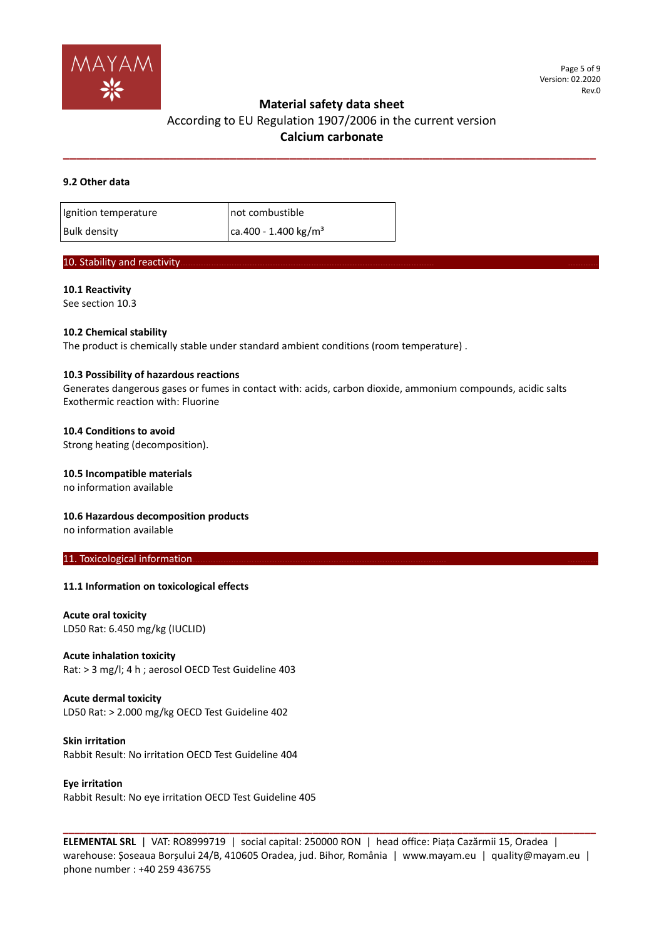

# According to EU Regulation 1907/2006 in the current version **Calcium carbonate**

**\_\_\_\_\_\_\_\_\_\_\_\_\_\_\_\_\_\_\_\_\_\_\_\_\_\_\_\_\_\_\_\_\_\_\_\_\_\_\_\_\_\_\_\_\_\_\_\_\_\_\_\_\_\_\_\_\_\_\_\_\_\_\_\_\_\_\_\_\_\_\_\_\_\_\_\_\_\_\_\_**

### **9.2 Other data**

| Ignition temperature | not combustible                  |
|----------------------|----------------------------------|
| <b>Bulk density</b>  | ca.400 - 1.400 kg/m <sup>3</sup> |

# 10. Stability and reactivity

#### **10.1 Reactivity** See section 10.3

# **10.2 Chemical stability**

The product is chemically stable under standard ambient conditions (room temperature) .

### **10.3 Possibility of hazardous reactions**

Generates dangerous gases or fumes in contact with: acids, carbon dioxide, ammonium compounds, acidic salts Exothermic reaction with: Fluorine

### **10.4 Conditions to avoid**

Strong heating (decomposition).

### **10.5 Incompatible materials**

no information available

# **10.6 Hazardous decomposition products**

no information available

#### 11. Toxicological information.

# **11.1 Information on toxicological effects**

**Acute oral toxicity** LD50 Rat: 6.450 mg/kg (IUCLID)

# **Acute inhalation toxicity**

Rat: > 3 mg/l; 4 h ; aerosol OECD Test Guideline 403

# **Acute dermal toxicity**

LD50 Rat: > 2.000 mg/kg OECD Test Guideline 402

**Skin irritation** Rabbit Result: No irritation OECD Test Guideline 404

**Eye irritation** Rabbit Result: No eye irritation OECD Test Guideline 405

**ELEMENTAL SRL** | VAT: RO8999719 | social capital: 250000 RON | head office: Piața Cazărmii 15, Oradea | warehouse: Șoseaua Borșului 24/B, 410605 Oradea, jud. Bihor, România | www.mayam.eu | quality@mayam.eu | phone number : +40 259 436755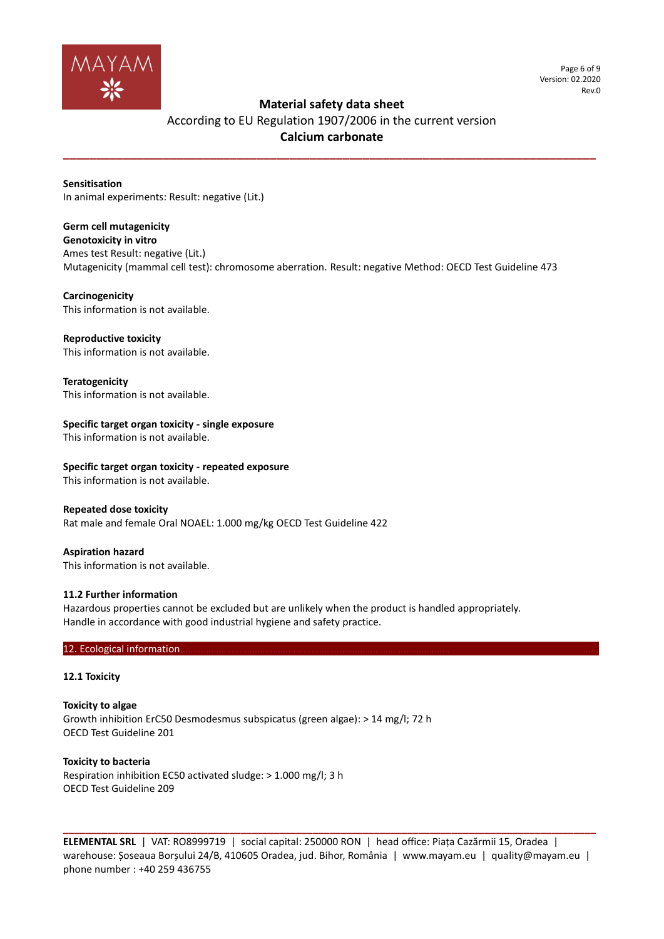

Page 6 of 9 Version: 02.2020 Rev.0

# **Material safety data sheet**

# According to EU Regulation 1907/2006 in the current version **Calcium carbonate**

**\_\_\_\_\_\_\_\_\_\_\_\_\_\_\_\_\_\_\_\_\_\_\_\_\_\_\_\_\_\_\_\_\_\_\_\_\_\_\_\_\_\_\_\_\_\_\_\_\_\_\_\_\_\_\_\_\_\_\_\_\_\_\_\_\_\_\_\_\_\_\_\_\_\_\_\_\_\_\_\_**

**Sensitisation** In animal experiments: Result: negative (Lit.)

# **Germ cell mutagenicity**

**Genotoxicity in vitro** Ames test Result: negative (Lit.) Mutagenicity (mammal cell test): chromosome aberration. Result: negative Method: OECD Test Guideline 473

# **Carcinogenicity**

This information is not available.

# **Reproductive toxicity**

This information is not available.

**Teratogenicity** This information is not available.

# **Specific target organ toxicity - single exposure**

This information is not available.

**Specific target organ toxicity - repeated exposure** This information is not available.

# **Repeated dose toxicity**

Rat male and female Oral NOAEL: 1.000 mg/kg OECD Test Guideline 422

**Aspiration hazard** This information is not available.

# **11.2 Further information**

Hazardous properties cannot be excluded but are unlikely when the product is handled appropriately. Handle in accordance with good industrial hygiene and safety practice.

### 12. Ecological information

### **12.1 Toxicity**

**Toxicity to algae** Growth inhibition ErC50 Desmodesmus subspicatus (green algae): > 14 mg/l; 72 h OECD Test Guideline 201

**Toxicity to bacteria** Respiration inhibition EC50 activated sludge: > 1.000 mg/l; 3 h OECD Test Guideline 209

**ELEMENTAL SRL** | VAT: RO8999719 | social capital: 250000 RON | head office: Piața Cazărmii 15, Oradea | warehouse: Șoseaua Borșului 24/B, 410605 Oradea, jud. Bihor, România | www.mayam.eu | quality@mayam.eu | phone number : +40 259 436755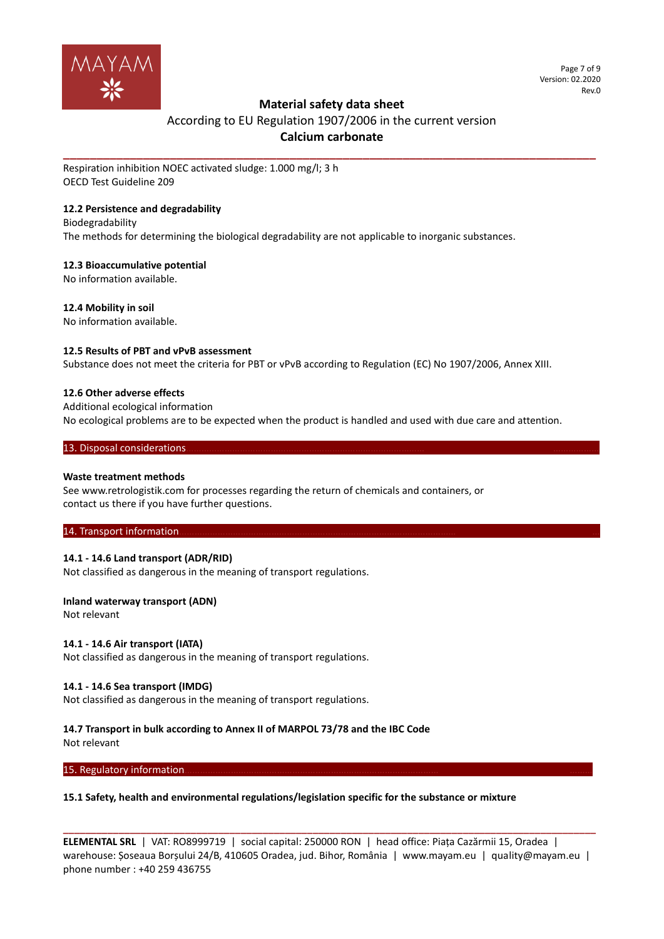

# According to EU Regulation 1907/2006 in the current version **Calcium carbonate**

**\_\_\_\_\_\_\_\_\_\_\_\_\_\_\_\_\_\_\_\_\_\_\_\_\_\_\_\_\_\_\_\_\_\_\_\_\_\_\_\_\_\_\_\_\_\_\_\_\_\_\_\_\_\_\_\_\_\_\_\_\_\_\_\_\_\_\_\_\_\_\_\_\_\_\_\_\_\_\_\_**

Respiration inhibition NOEC activated sludge: 1.000 mg/l; 3 h OECD Test Guideline 209

# **12.2 Persistence and degradability**

Biodegradability The methods for determining the biological degradability are not applicable to inorganic substances.

# **12.3 Bioaccumulative potential**

No information available.

**12.4 Mobility in soil**

No information available.

# **12.5 Results of PBT and vPvB assessment**

Substance does not meet the criteria for PBT or vPvB according to Regulation (EC) No 1907/2006, Annex XIII.

# **12.6 Other adverse effects**

Additional ecological information No ecological problems are to be expected when the product is handled and used with due care and attention.

### 13. Disposal considerations.

# **Waste treatment methods**

See www.retrologistik.com for processes regarding the return of chemicals and containers, or contact us there if you have further questions.

# 14. Transport information

# **14.1 - 14.6 Land transport (ADR/RID)**

Not classified as dangerous in the meaning of transport regulations.

# **Inland waterway transport (ADN)**

Not relevant

# **14.1 - 14.6 Air transport (IATA)**

Not classified as dangerous in the meaning of transport regulations.

# **14.1 - 14.6 Sea transport (IMDG)**

Not classified as dangerous in the meaning of transport regulations.

# **14.7 Transport in bulk according to Annex II of MARPOL 73/78 and the IBC Code**

Not relevant

15. Regulatory information

# **15.1 Safety, health and environmental regulations/legislation specific for the substance or mixture**

**ELEMENTAL SRL** | VAT: RO8999719 | social capital: 250000 RON | head office: Piața Cazărmii 15, Oradea | warehouse: Șoseaua Borșului 24/B, 410605 Oradea, jud. Bihor, România | www.mayam.eu | quality@mayam.eu | phone number : +40 259 436755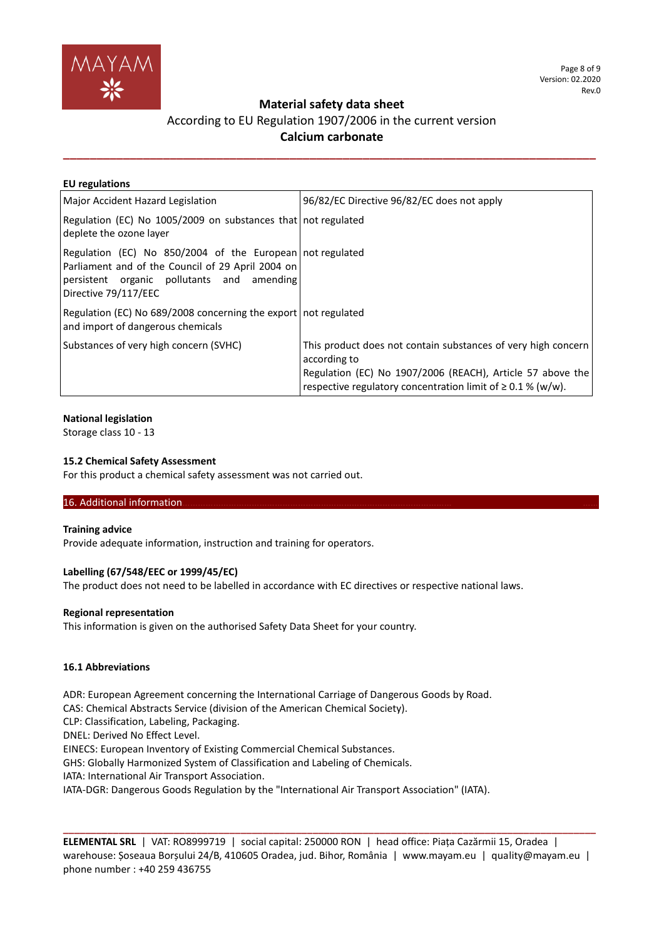

# According to EU Regulation 1907/2006 in the current version **Calcium carbonate**

**\_\_\_\_\_\_\_\_\_\_\_\_\_\_\_\_\_\_\_\_\_\_\_\_\_\_\_\_\_\_\_\_\_\_\_\_\_\_\_\_\_\_\_\_\_\_\_\_\_\_\_\_\_\_\_\_\_\_\_\_\_\_\_\_\_\_\_\_\_\_\_\_\_\_\_\_\_\_\_\_**

| <b>EU</b> regulations                                                                                                                                                                |                                                                                                                                                                                                                 |
|--------------------------------------------------------------------------------------------------------------------------------------------------------------------------------------|-----------------------------------------------------------------------------------------------------------------------------------------------------------------------------------------------------------------|
| Major Accident Hazard Legislation                                                                                                                                                    | 96/82/EC Directive 96/82/EC does not apply                                                                                                                                                                      |
| Regulation (EC) No 1005/2009 on substances that not regulated<br>deplete the ozone layer                                                                                             |                                                                                                                                                                                                                 |
| Regulation (EC) No 850/2004 of the European not regulated<br>Parliament and of the Council of 29 April 2004 on<br>persistent organic pollutants and amending<br>Directive 79/117/EEC |                                                                                                                                                                                                                 |
| Regulation (EC) No 689/2008 concerning the export not regulated<br>and import of dangerous chemicals                                                                                 |                                                                                                                                                                                                                 |
| Substances of very high concern (SVHC)                                                                                                                                               | This product does not contain substances of very high concern<br>according to<br>Regulation (EC) No 1907/2006 (REACH), Article 57 above the<br>respective regulatory concentration limit of $\geq 0.1$ % (w/w). |

# **National legislation**

Storage class 10 - 13

# **15.2 Chemical Safety Assessment**

For this product a chemical safety assessment was not carried out.

# 16. Additional information.

#### **Training advice**

Provide adequate information, instruction and training for operators.

# **Labelling (67/548/EEC or 1999/45/EC)**

The product does not need to be labelled in accordance with EC directives or respective national laws.

#### **Regional representation**

This information is given on the authorised Safety Data Sheet for your country.

# **16.1 Abbreviations**

ADR: European Agreement concerning the International Carriage of Dangerous Goods by Road.

CAS: Chemical Abstracts Service (division of the American Chemical Society).

CLP: Classification, Labeling, Packaging.

DNEL: Derived No Effect Level.

EINECS: European Inventory of Existing Commercial Chemical Substances.

GHS: Globally Harmonized System of Classification and Labeling of Chemicals.

IATA: International Air Transport Association.

IATA-DGR: Dangerous Goods Regulation by the "International Air Transport Association" (IATA).

**ELEMENTAL SRL** | VAT: RO8999719 | social capital: 250000 RON | head office: Piața Cazărmii 15, Oradea | warehouse: Șoseaua Borșului 24/B, 410605 Oradea, jud. Bihor, România | www.mayam.eu | quality@mayam.eu | phone number : +40 259 436755